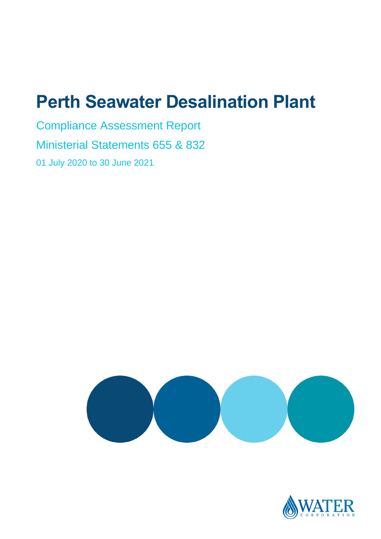# **Perth Seawater Desalination Plant**

Compliance Assessment Report Ministerial Statements 655 & 832 01 July 2020 to 30 June 2021



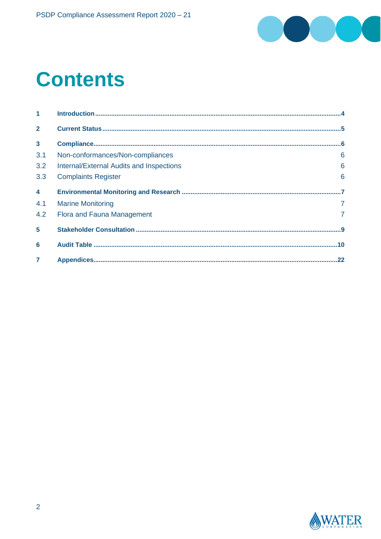

# **Contents**

| 1 <sup>1</sup>          |                                                 |                 |
|-------------------------|-------------------------------------------------|-----------------|
| $\overline{2}$          |                                                 |                 |
| $\overline{\mathbf{3}}$ |                                                 |                 |
| 3.1                     | Non-conformances/Non-compliances                | 6               |
| 3.2                     | <b>Internal/External Audits and Inspections</b> | $6\phantom{1}6$ |
| 3.3                     | <b>Complaints Register</b>                      | $6\phantom{1}6$ |
| $\overline{4}$          |                                                 |                 |
| 4.1                     | <b>Marine Monitoring</b>                        | $\overline{7}$  |
| 4.2                     | <b>Flora and Fauna Management</b>               | $\overline{7}$  |
| $\overline{\mathbf{5}}$ |                                                 |                 |
| 6                       |                                                 |                 |
| $\overline{7}$          |                                                 |                 |

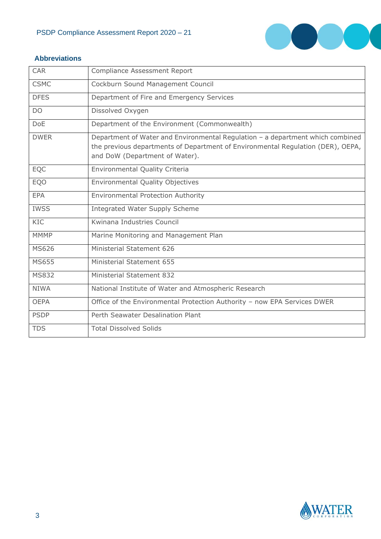

### **Abbreviations**

| <b>CAR</b>   | <b>Compliance Assessment Report</b>                                                                                                                                                                 |
|--------------|-----------------------------------------------------------------------------------------------------------------------------------------------------------------------------------------------------|
| <b>CSMC</b>  | Cockburn Sound Management Council                                                                                                                                                                   |
| <b>DFES</b>  | Department of Fire and Emergency Services                                                                                                                                                           |
| <b>DO</b>    | Dissolved Oxygen                                                                                                                                                                                    |
| <b>DoE</b>   | Department of the Environment (Commonwealth)                                                                                                                                                        |
| <b>DWER</b>  | Department of Water and Environmental Regulation - a department which combined<br>the previous departments of Department of Environmental Regulation (DER), OEPA,<br>and DoW (Department of Water). |
| EQC          | Environmental Quality Criteria                                                                                                                                                                      |
| EQO          | <b>Environmental Quality Objectives</b>                                                                                                                                                             |
| <b>EPA</b>   | <b>Environmental Protection Authority</b>                                                                                                                                                           |
| <b>IWSS</b>  | <b>Integrated Water Supply Scheme</b>                                                                                                                                                               |
| KIC          | Kwinana Industries Council                                                                                                                                                                          |
| <b>MMMP</b>  | Marine Monitoring and Management Plan                                                                                                                                                               |
| <b>MS626</b> | Ministerial Statement 626                                                                                                                                                                           |
| <b>MS655</b> | Ministerial Statement 655                                                                                                                                                                           |
| <b>MS832</b> | Ministerial Statement 832                                                                                                                                                                           |
| <b>NIWA</b>  | National Institute of Water and Atmospheric Research                                                                                                                                                |
| <b>OEPA</b>  | Office of the Environmental Protection Authority - now EPA Services DWER                                                                                                                            |
| <b>PSDP</b>  | Perth Seawater Desalination Plant                                                                                                                                                                   |
| <b>TDS</b>   | <b>Total Dissolved Solids</b>                                                                                                                                                                       |

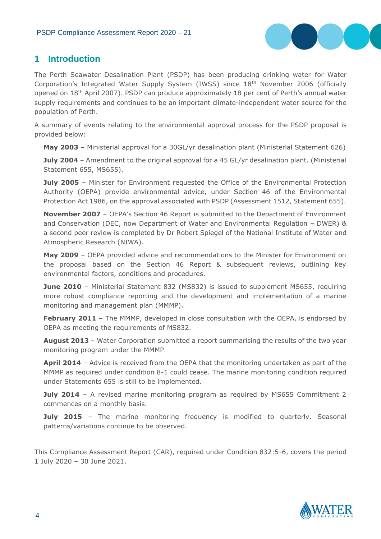

# <span id="page-3-0"></span>**1 Introduction**

The Perth Seawater Desalination Plant (PSDP) has been producing drinking water for Water Corporation's Integrated Water Supply System (IWSS) since 18th November 2006 (officially opened on 18th April 2007). PSDP can produce approximately 18 per cent of Perth's annual water supply requirements and continues to be an important climate-independent water source for the population of Perth.

A summary of events relating to the environmental approval process for the PSDP proposal is provided below:

**May 2003** – Ministerial approval for a 30GL/yr desalination plant (Ministerial Statement 626)

**July 2004** – Amendment to the original approval for a 45 GL/yr desalination plant. (Ministerial Statement 655, MS655).

**July 2005** – Minister for Environment requested the Office of the Environmental Protection Authority (OEPA) provide environmental advice, under Section 46 of the Environmental Protection Act 1986, on the approval associated with PSDP (Assessment 1512, Statement 655).

**November 2007** – OEPA's Section 46 Report is submitted to the Department of Environment and Conservation (DEC, now Department of Water and Environmental Regulation – DWER) & a second peer review is completed by Dr Robert Spiegel of the National Institute of Water and Atmospheric Research (NIWA).

**May 2009** – OEPA provided advice and recommendations to the Minister for Environment on the proposal based on the Section 46 Report & subsequent reviews, outlining key environmental factors, conditions and procedures.

**June 2010** – Ministerial Statement 832 (MS832) is issued to supplement MS655, requiring more robust compliance reporting and the development and implementation of a marine monitoring and management plan (MMMP).

**February 2011** – The MMMP, developed in close consultation with the OEPA, is endorsed by OEPA as meeting the requirements of MS832.

**August 2013** – Water Corporation submitted a report summarising the results of the two year monitoring program under the MMMP.

**April 2014** – Advice is received from the OEPA that the monitoring undertaken as part of the MMMP as required under condition 8-1 could cease. The marine monitoring condition required under Statements 655 is still to be implemented.

**July 2014** – A revised marine monitoring program as required by MS655 Commitment 2 commences on a monthly basis.

**July 2015** - The marine monitoring frequency is modified to quarterly. Seasonal patterns/variations continue to be observed.

This Compliance Assessment Report (CAR), required under Condition 832:5-6, covers the period 1 July 2020 – 30 June 2021.

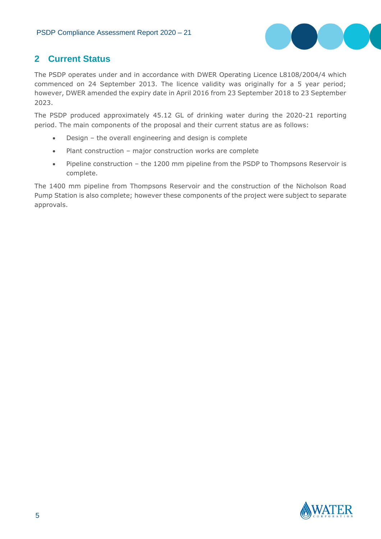

# <span id="page-4-0"></span>**2 Current Status**

The PSDP operates under and in accordance with DWER Operating Licence L8108/2004/4 which commenced on 24 September 2013. The licence validity was originally for a 5 year period; however, DWER amended the expiry date in April 2016 from 23 September 2018 to 23 September 2023.

The PSDP produced approximately 45.12 GL of drinking water during the 2020-21 reporting period. The main components of the proposal and their current status are as follows:

- Design the overall engineering and design is complete
- Plant construction major construction works are complete
- Pipeline construction the 1200 mm pipeline from the PSDP to Thompsons Reservoir is complete.

The 1400 mm pipeline from Thompsons Reservoir and the construction of the Nicholson Road Pump Station is also complete; however these components of the project were subject to separate approvals.

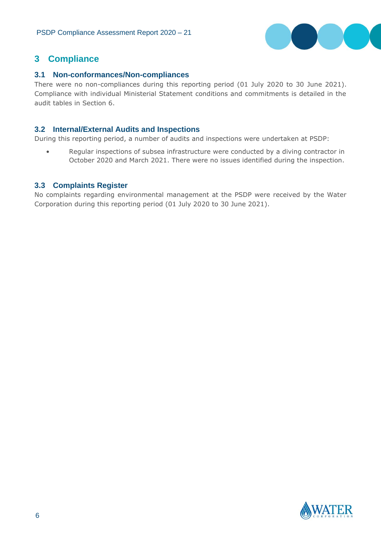

# <span id="page-5-0"></span>**3 Compliance**

#### <span id="page-5-1"></span>**3.1 Non-conformances/Non-compliances**

There were no non-compliances during this reporting period (01 July 2020 to 30 June 2021). Compliance with individual Ministerial Statement conditions and commitments is detailed in the audit tables in Section 6.

#### <span id="page-5-2"></span>**3.2 Internal/External Audits and Inspections**

During this reporting period, a number of audits and inspections were undertaken at PSDP:

• Regular inspections of subsea infrastructure were conducted by a diving contractor in October 2020 and March 2021. There were no issues identified during the inspection.

### <span id="page-5-3"></span>**3.3 Complaints Register**

No complaints regarding environmental management at the PSDP were received by the Water Corporation during this reporting period (01 July 2020 to 30 June 2021).

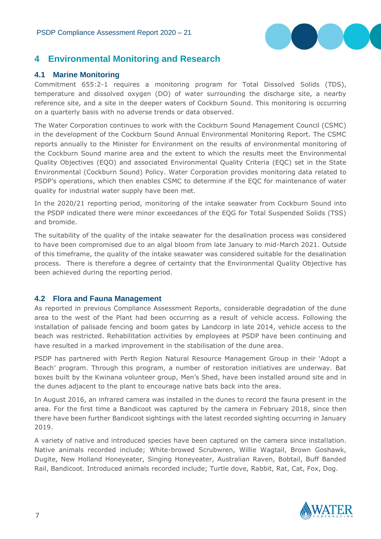

## <span id="page-6-0"></span>**4 Environmental Monitoring and Research**

### <span id="page-6-1"></span>**4.1 Marine Monitoring**

Commitment 655:2-1 requires a monitoring program for Total Dissolved Solids (TDS), temperature and dissolved oxygen (DO) of water surrounding the discharge site, a nearby reference site, and a site in the deeper waters of Cockburn Sound. This monitoring is occurring on a quarterly basis with no adverse trends or data observed.

The Water Corporation continues to work with the Cockburn Sound Management Council (CSMC) in the development of the Cockburn Sound Annual Environmental Monitoring Report. The CSMC reports annually to the Minister for Environment on the results of environmental monitoring of the Cockburn Sound marine area and the extent to which the results meet the Environmental Quality Objectives (EQO) and associated Environmental Quality Criteria (EQC) set in the State Environmental (Cockburn Sound) Policy. Water Corporation provides monitoring data related to PSDP's operations, which then enables CSMC to determine if the EQC for maintenance of water quality for industrial water supply have been met.

In the 2020/21 reporting period, monitoring of the intake seawater from Cockburn Sound into the PSDP indicated there were minor exceedances of the EQG for Total Suspended Solids (TSS) and bromide.

The suitability of the quality of the intake seawater for the desalination process was considered to have been compromised due to an algal bloom from late January to mid-March 2021. Outside of this timeframe, the quality of the intake seawater was considered suitable for the desalination process. There is therefore a degree of certainty that the Environmental Quality Objective has been achieved during the reporting period.

#### <span id="page-6-2"></span>**4.2 Flora and Fauna Management**

As reported in previous Compliance Assessment Reports, considerable degradation of the dune area to the west of the Plant had been occurring as a result of vehicle access. Following the installation of palisade fencing and boom gates by Landcorp in late 2014, vehicle access to the beach was restricted. Rehabilitation activities by employees at PSDP have been continuing and have resulted in a marked improvement in the stabilisation of the dune area.

PSDP has partnered with Perth Region Natural Resource Management Group in their 'Adopt a Beach' program. Through this program, a number of restoration initiatives are underway. Bat boxes built by the Kwinana volunteer group, Men's Shed, have been installed around site and in the dunes adjacent to the plant to encourage native bats back into the area.

In August 2016, an infrared camera was installed in the dunes to record the fauna present in the area. For the first time a Bandicoot was captured by the camera in February 2018, since then there have been further Bandicoot sightings with the latest recorded sighting occurring in January 2019.

A variety of native and introduced species have been captured on the camera since installation. Native animals recorded include; White-browed Scrubwren, Willie Wagtail, Brown Goshawk, Dugite, New Holland Honeyeater, Singing Honeyeater, Australian Raven, Bobtail, Buff Banded Rail, Bandicoot. Introduced animals recorded include; Turtle dove, Rabbit, Rat, Cat, Fox, Dog.

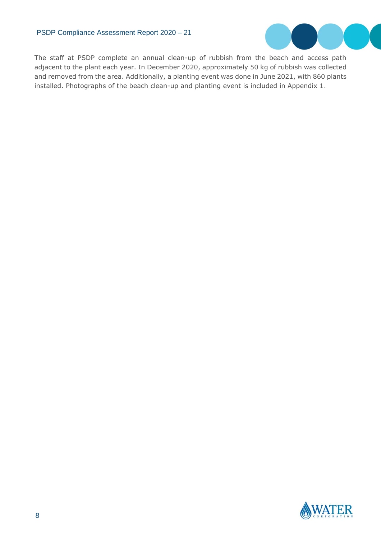#### PSDP Compliance Assessment Report 2020 – 21



The staff at PSDP complete an annual clean-up of rubbish from the beach and access path adjacent to the plant each year. In December 2020, approximately 50 kg of rubbish was collected and removed from the area. Additionally, a planting event was done in June 2021, with 860 plants installed. Photographs of the beach clean-up and planting event is included in Appendix 1.

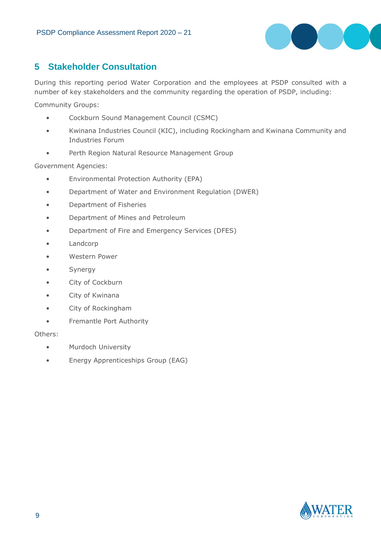

# <span id="page-8-0"></span>**5 Stakeholder Consultation**

During this reporting period Water Corporation and the employees at PSDP consulted with a number of key stakeholders and the community regarding the operation of PSDP, including:

Community Groups:

- Cockburn Sound Management Council (CSMC)
- Kwinana Industries Council (KIC), including Rockingham and Kwinana Community and Industries Forum
- Perth Region Natural Resource Management Group

Government Agencies:

- Environmental Protection Authority (EPA)
- Department of Water and Environment Regulation (DWER)
- Department of Fisheries
- Department of Mines and Petroleum
- Department of Fire and Emergency Services (DFES)
- Landcorp
- Western Power
- Synergy
- City of Cockburn
- City of Kwinana
- City of Rockingham
- Fremantle Port Authority

Others:

- Murdoch University
- Energy Apprenticeships Group (EAG)

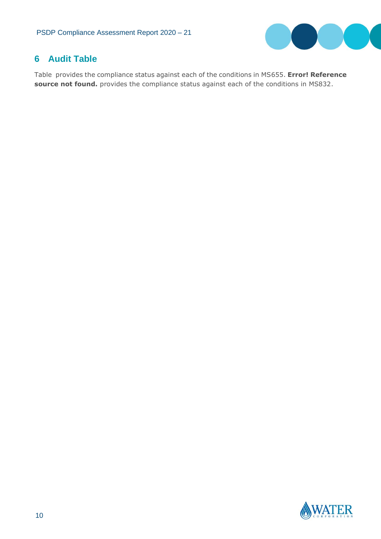

# <span id="page-9-0"></span>**6 Audit Table**

[Table](#page-10-0) provides the compliance status against each of the conditions in MS655. **Error! Reference**  source not found. provides the compliance status against each of the conditions in MS832.

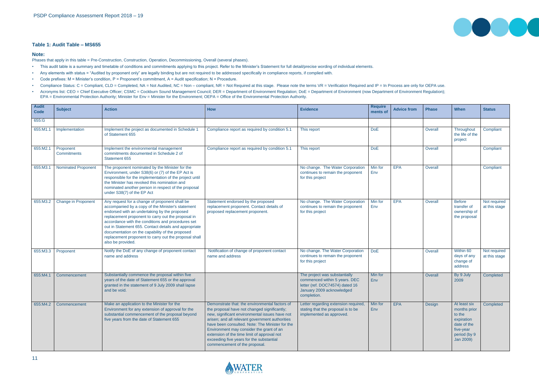

#### <span id="page-10-0"></span>**Table 1: Audit Table – MS655**

#### **Note:**

Phases that apply in this table = Pre-Construction, Construction, Operation, Decommissioning, Overall (several phases).

- This audit table is a summary and timetable of conditions and commitments applying to this project. Refer to the Minister's Statement for full detail/precise wording of individual elements.
- Any elements with status = "Audited by proponent only" are legally binding but are not required to be addressed specifically in compliance reports, if complied with.
- Code prefixes: M = Minister's condition, P = Proponent's commitment, A = Audit specification; N = Procedure.
- Compliance Status: C = Compliant, CLD = Completed, NA = Not Audited, NC = Non compliant, NR = Not Required at this stage. Please note the terms VR = Verification Required and IP = In Process are only for OEPA use.
- Acronyms list: CEO = Chief Executive Officer; CSMC = Cockburn Sound Management Council; DER = Department of Environment Regulation; DoE = Department of Environment (now Department of Environment Regulation); EPA = Environmental Protection Authority; Minister for Env = Minister for the Environment; OEPA = Office of the Environmental Protection Authority.

| <b>Audit</b><br><b>Code</b> | <b>Subject</b>                  | <b>Action</b>                                                                                                                                                                                                                                                                                                                                                                                                                                            | How                                                                                                                                                                                                                                                                                                                                                                                                                            | <b>Evidence</b>                                                                                                                               | <b>Require</b><br>ments of | <b>Advice from</b> | <b>Phase</b> | When                                                                                                          | <b>Status</b>                 |
|-----------------------------|---------------------------------|----------------------------------------------------------------------------------------------------------------------------------------------------------------------------------------------------------------------------------------------------------------------------------------------------------------------------------------------------------------------------------------------------------------------------------------------------------|--------------------------------------------------------------------------------------------------------------------------------------------------------------------------------------------------------------------------------------------------------------------------------------------------------------------------------------------------------------------------------------------------------------------------------|-----------------------------------------------------------------------------------------------------------------------------------------------|----------------------------|--------------------|--------------|---------------------------------------------------------------------------------------------------------------|-------------------------------|
| 655:G                       |                                 |                                                                                                                                                                                                                                                                                                                                                                                                                                                          |                                                                                                                                                                                                                                                                                                                                                                                                                                |                                                                                                                                               |                            |                    |              |                                                                                                               |                               |
| 655:M1.1                    | Implementation                  | Implement the project as documented in Schedule 1<br>of Statement 655                                                                                                                                                                                                                                                                                                                                                                                    | Compliance report as required by condition 5.1                                                                                                                                                                                                                                                                                                                                                                                 | This report                                                                                                                                   | <b>DoE</b>                 |                    | Overall      | Throughout<br>the life of the<br>project                                                                      | Compliant                     |
| 655:M2.1                    | Proponent<br><b>Commitments</b> | Implement the environmental management<br>commitments documented in Schedule 2 of<br>Statement 655                                                                                                                                                                                                                                                                                                                                                       | Compliance report as required by condition 5.1                                                                                                                                                                                                                                                                                                                                                                                 | This report                                                                                                                                   | <b>DoE</b>                 |                    | Overall      |                                                                                                               | Compliant                     |
| 655:M3.1                    | <b>Nominated Proponent</b>      | The proponent nominated by the Minister for the<br>Environment, under S38(6) or (7) of the EP Act is<br>responsible for the implementation of the project until<br>the Minister has revoked this nomination and<br>nominated another person in respect of the proposal<br>under S38(7) of the EP Act                                                                                                                                                     |                                                                                                                                                                                                                                                                                                                                                                                                                                | No change. The Water Corporation<br>continues to remain the proponent<br>for this project                                                     | Min for<br>Env             | EPA                | Overall      |                                                                                                               | Compliant                     |
| 655:M3.2                    | Change in Proponent             | Any request for a change of proponent shall be<br>accompanied by a copy of the Minister's statement<br>endorsed with an undertaking by the proposed<br>replacement proponent to carry out the proposal in<br>accordance with the conditions and procedures set<br>out in Statement 655. Contact details and appropriate<br>documentation on the capability of the proposed<br>replacement proponent to carry out the proposal shall<br>also be provided. | Statement endorsed by the proposed<br>replacement proponent. Contact details of<br>proposed replacement proponent.                                                                                                                                                                                                                                                                                                             | No change. The Water Corporation<br>continues to remain the proponent<br>for this project                                                     | Min for<br>Env             | EPA                | Overall      | <b>Before</b><br>transfer of<br>ownership of<br>the proposal                                                  | Not required<br>at this stage |
| 655:M3.3                    | Proponent                       | Notify the DoE of any change of proponent contact<br>name and address                                                                                                                                                                                                                                                                                                                                                                                    | Notification of change of proponent contact<br>name and address                                                                                                                                                                                                                                                                                                                                                                | No change. The Water Corporation<br>continues to remain the proponent<br>for this project                                                     | <b>DoE</b>                 |                    | Overall      | Within 60<br>days of any<br>change of<br>address                                                              | Not required<br>at this stage |
| 655:M4.1                    | Commencement                    | Substantially commence the proposal within five<br>years of the date of Statement 655 or the approval<br>granted in the statement of 9 July 2009 shall lapse<br>and be void.                                                                                                                                                                                                                                                                             |                                                                                                                                                                                                                                                                                                                                                                                                                                | The project was substantially<br>commenced within 5 years. DEC<br>letter (ref. DOC74574) dated 16<br>January 2009 acknowledged<br>completion. | Min for<br>Env             |                    | Overall      | By 9 July<br>2009                                                                                             | Completed                     |
| 655:M4.2                    | Commencement                    | Make an application to the Minister for the<br>Environment for any extension of approval for the<br>substantial commencement of the proposal beyond<br>five years from the date of Statement 655                                                                                                                                                                                                                                                         | Demonstrate that: the environmental factors of<br>the proposal have not changed significantly;<br>new, significant environmental issues have not<br>arisen; and all relevant government authorities<br>have been consulted. Note: The Minister for the<br>Environment may consider the grant of an<br>extension of the time limit of approval not<br>exceeding five years for the substantial<br>commencement of the proposal. | Letter regarding extension required,<br>stating that the proposal is to be<br>implemented as approved.                                        | Min for<br>Env             | <b>EPA</b>         | Design       | At least six<br>months prior<br>to the<br>expiration<br>date of the<br>five-year<br>period (by 9<br>Jan 2009) | Completed                     |

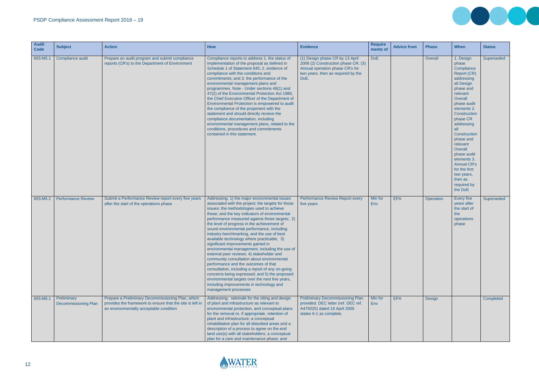| Audit<br>Code | <b>Subject</b>                             | <b>Action</b>                                                                                                                                             | How                                                                                                                                                                                                                                                                                                                                                                                                                                                                                                                                                                                                                                                                                                                                                                                                                                                                                                  | <b>Evidence</b>                                                                                                                                         | <b>Require</b><br>ments of | <b>Advice from</b> | <b>Phase</b> | <b>When</b>                                                                                                                                                                                                                                                                                                                                                                | <b>Status</b> |
|---------------|--------------------------------------------|-----------------------------------------------------------------------------------------------------------------------------------------------------------|------------------------------------------------------------------------------------------------------------------------------------------------------------------------------------------------------------------------------------------------------------------------------------------------------------------------------------------------------------------------------------------------------------------------------------------------------------------------------------------------------------------------------------------------------------------------------------------------------------------------------------------------------------------------------------------------------------------------------------------------------------------------------------------------------------------------------------------------------------------------------------------------------|---------------------------------------------------------------------------------------------------------------------------------------------------------|----------------------------|--------------------|--------------|----------------------------------------------------------------------------------------------------------------------------------------------------------------------------------------------------------------------------------------------------------------------------------------------------------------------------------------------------------------------------|---------------|
| 655:M5.1      | Compliance audit                           | Prepare an audit program and submit compliance<br>reports (CR's) to the Department of Environment                                                         | Compliance reports to address 1. the status of<br>implementation of the proposal as defined in<br>Schedule 1 of Statement 645; 2. evidence of<br>compliance with the conditions and<br>commitments; and 3. the performance of the<br>environmental management plans and<br>programmes. Note - Under sections 48(1) and<br>47(2) of the Environmental Protection Act 1986,<br>the Chief Executive Officer of the Department of<br>Environmental Protection is empowered to audit<br>the compliance of the proponent with the<br>statement and should directly receive the<br>compliance documentation, including<br>environmental management plans, related to the<br>conditions, procedures and commitments<br>contained in this statement.                                                                                                                                                          | (1) Design phase CR by 13 April<br>2006 (2) Construction phase CR. (3)<br>Annual operation phase CR's for<br>two years, then as required by the<br>DoE. | <b>DoE</b>                 |                    | Overall      | 1. Design<br>phase<br>Compliance<br>Report (CR)<br>addressing<br>all Design<br>phase and<br>relevant<br>Overall<br>phase audit<br>elements 2.<br>Construction<br>phase CR<br>addressing<br>all<br>Construction<br>phase and<br>relevant<br>Overall<br>phase audit<br>elements 3.<br><b>Annual CR's</b><br>for the first<br>two years,<br>then as<br>required by<br>the DoE | Superseded    |
| 655:M5.2      | <b>Performance Review</b>                  | Submit a Performance Review report every five years<br>after the start of the operations phase                                                            | Addressing: 1) the major environmental issues<br>associated with the project; the targets for those<br>issues; the methodologies used to achieve<br>these; and the key indicators of environmental<br>performance measured against those targets; 2)<br>the level of progress in the achievement of<br>sound environmental performance, including<br>industry benchmarking, and the use of best<br>available technology where practicable; 3)<br>significant improvements gained in<br>environmental management, including the use of<br>external peer reviews; 4) stakeholder and<br>community consultation about environmental<br>performance and the outcomes of that<br>consultation, including a report of any on-going<br>concerns being expressed; and 5) the proposed<br>environmental targets over the next five years,<br>including improvements in technology and<br>management processes | Performance Review Report every<br>five years                                                                                                           | Min for<br>Env             | <b>EPA</b>         | Operation    | Every five<br>years after<br>the start of<br>the<br>operations<br>phase                                                                                                                                                                                                                                                                                                    | Superseded    |
| 655:M6.1      | Preliminary<br><b>Decommissioning Plan</b> | Prepare a Preliminary Decommissioning Plan, which<br>provides the framework to ensure that the site is left in<br>an environmentally acceptable condition | Addressing: rationale for the siting and design<br>of plant and infrastructure as relevant to<br>environmental protection, and conceptual plans<br>for the removal or, if appropriate, retention of<br>plant and infrastructure; a conceptual<br>rehabilitation plan for all disturbed areas and a<br>description of a process to agree on the end<br>land use(s) with all stakeholders; a conceptual<br>plan for a care and maintenance phase; and                                                                                                                                                                                                                                                                                                                                                                                                                                                  | <b>Preliminary Decommissioning Plan</b><br>provided. DEC letter (ref. DEC ref.<br>A475025) dated 19 April 2005<br>states 6-1 as complete.               | Min for<br>Env             | EPA                | Design       |                                                                                                                                                                                                                                                                                                                                                                            | Completed     |

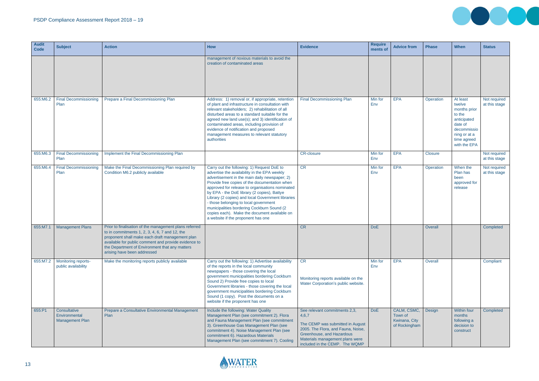| <b>Audit</b><br><b>Code</b> | <b>Subject</b>                                   | <b>Action</b>                                                                                                                                                                                                                                                                                        | <b>How</b>                                                                                                                                                                                                                                                                                                                                                                                                                                                                                                                        | <b>Evidence</b>                                                                                                                                                                                                    | <b>Require</b><br>ments of | <b>Advice f</b>                           |
|-----------------------------|--------------------------------------------------|------------------------------------------------------------------------------------------------------------------------------------------------------------------------------------------------------------------------------------------------------------------------------------------------------|-----------------------------------------------------------------------------------------------------------------------------------------------------------------------------------------------------------------------------------------------------------------------------------------------------------------------------------------------------------------------------------------------------------------------------------------------------------------------------------------------------------------------------------|--------------------------------------------------------------------------------------------------------------------------------------------------------------------------------------------------------------------|----------------------------|-------------------------------------------|
|                             |                                                  |                                                                                                                                                                                                                                                                                                      | management of noxious materials to avoid the<br>creation of contaminated areas                                                                                                                                                                                                                                                                                                                                                                                                                                                    |                                                                                                                                                                                                                    |                            |                                           |
| 655:M6.2                    | <b>Final Decommissioning</b><br>Plan             | Prepare a Final Decommissioning Plan                                                                                                                                                                                                                                                                 | Address: 1) removal or, if appropriate, retention<br>of plant and infrastructure in consultation with<br>relevant stakeholders; 2) rehabilitation of all<br>disturbed areas to a standard suitable for the<br>agreed new land use(s); and 3) identification of<br>contaminated areas, including provision of<br>evidence of notification and proposed<br>management measures to relevant statutory<br>authorities                                                                                                                 | Final Decommissioning Plan                                                                                                                                                                                         | Min for<br>Env             | <b>EPA</b>                                |
| 655:M6.3                    | <b>Final Decommissioning</b><br>Plan             | Implement the Final Decommissioning Plan                                                                                                                                                                                                                                                             |                                                                                                                                                                                                                                                                                                                                                                                                                                                                                                                                   | <b>CR-closure</b>                                                                                                                                                                                                  | Min for<br>Env             | <b>EPA</b>                                |
| 655:M6.4                    | <b>Final Decommissioning</b><br>Plan             | Make the Final Decommissioning Plan required by<br>Condition M6.2 publicly available                                                                                                                                                                                                                 | Carry out the following: 1) Request DoE to<br>advertise the availability in the EPA weekly<br>advertisement in the main daily newspaper; 2)<br>Provide free copies of the documentation when<br>approved for release to organisations nominated<br>by EPA - the DoE library (2 copies), Battye<br>Library (2 copies) and local Government libraries<br>- those belonging to local government<br>municipalities bordering Cockburn Sound (2)<br>copies each). Make the document available on<br>a website if the proponent has one | CR                                                                                                                                                                                                                 | Min for<br>Env             | <b>EPA</b>                                |
| 655:M7.1                    | <b>Management Plans</b>                          | Prior to finalisation of the management plans referred<br>to in commitments 1, 2, 3, 4, 6, 7 and 12, the<br>proponent shall make each draft management plan<br>available for public comment and provide evidence to<br>the Department of Environment that any matters<br>arising have been addressed |                                                                                                                                                                                                                                                                                                                                                                                                                                                                                                                                   | CR                                                                                                                                                                                                                 | <b>DoE</b>                 |                                           |
| 655:M7.2                    | Monitoring reports-<br>public availability       | Make the monitoring reports publicly available                                                                                                                                                                                                                                                       | Carry out the following: 1) Advertise availability<br>of the reports in the local community<br>newspapers - those covering the local<br>government municipalities bordering Cockburn<br>Sound 2) Provide free copies to local<br>Government libraries - those covering the local<br>government municipalities bordering Cockburn<br>Sound (1 copy). Post the documents on a<br>website if the proponent has one                                                                                                                   | <b>CR</b><br>Monitoring reports available on the<br>Water Corporation's public website.                                                                                                                            | Min for<br>Env             | <b>EPA</b>                                |
| 655:P1                      | Consultative<br>Environmental<br>Management Plan | Prepare a Consultative Environmental Management<br><b>Plan</b>                                                                                                                                                                                                                                       | Include the following: Water Quality<br>Management Plan (see commitment 2). Flora<br>and Fauna Management Plan (see commitment<br>3). Greenhouse Gas Management Plan (see<br>commitment 4). Noise Management Plan (see<br>commitment 6). Hazardous Materials<br>Management Plan (see commitment 7). Cooling                                                                                                                                                                                                                       | See relevant commitments 2,3,<br>4,6,7<br>The CEMP was submitted in August<br>2005. The Flora, and Fauna, Noise,<br>Greenhouse, and Hazardous<br>Materials management plans were<br>included in the CEMP. The WQMP | <b>DoE</b>                 | CALM, C<br>Town of<br>Kwinana<br>of Rocki |



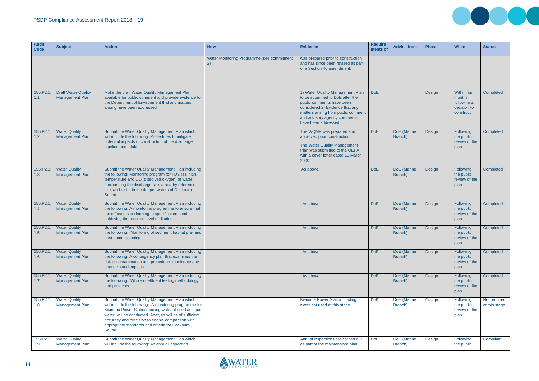

Design Following

| <b>Audit</b><br><b>Code</b> | <b>Subject</b>                                       | <b>Action</b>                                                                                                                                                                                                                                                                                                                                  | <b>How</b>                                       | <b>Evidence</b>                                                                                                                                                                                                                     | <b>Require</b><br>ments of | <b>Advice from</b>     |
|-----------------------------|------------------------------------------------------|------------------------------------------------------------------------------------------------------------------------------------------------------------------------------------------------------------------------------------------------------------------------------------------------------------------------------------------------|--------------------------------------------------|-------------------------------------------------------------------------------------------------------------------------------------------------------------------------------------------------------------------------------------|----------------------------|------------------------|
|                             |                                                      |                                                                                                                                                                                                                                                                                                                                                | Water Monitoring Programme (see commitment<br>2) | was prepared prior to construction<br>and has since been revised as part<br>of a Section 46 amendment.                                                                                                                              |                            |                        |
| 655:P2.1:<br>1.1            | <b>Draft Water Quality</b><br><b>Management Plan</b> | Make the draft Water Quality Management Plan<br>available for public comment and provide evidence to<br>the Department of Environment that any matters<br>arising have been addressed                                                                                                                                                          |                                                  | 1) Water Quality Management Plan<br>to be submitted to DoE after the<br>public comments have been<br>considered 2) Evidence that any<br>matters arising from public comment<br>and advisory agency comments<br>have been addressed. | <b>DoE</b>                 |                        |
| 655:P2.1:<br>1.2            | <b>Water Quality</b><br><b>Management Plan</b>       | Submit the Water Quality Management Plan which<br>will include the following: Procedures to mitigate<br>potential impacts of construction of the discharge<br>pipeline and intake                                                                                                                                                              |                                                  | The WQMP was prepared and<br>approved prior construction.<br>The Water Quality Management<br>Plan was submitted to the OEPA<br>with a cover letter dated 11 March<br>2009.                                                          | <b>DoE</b>                 | DoE (Marine<br>Branch) |
| 655:P2.1:<br>1.3            | <b>Water Quality</b><br><b>Management Plan</b>       | Submit the Water Quality Management Plan including<br>the following: Monitoring program for TDS (salinity),<br>temperature and DO (dissolved oxygen) of water<br>surrounding the discharge site, a nearby reference<br>site, and a site in the deeper waters of Cockburn<br>Sound.                                                             |                                                  | As above.                                                                                                                                                                                                                           | <b>DoE</b>                 | DoE (Marine<br>Branch) |
| 655:P2.1:<br>1.4            | <b>Water Quality</b><br><b>Management Plan</b>       | Submit the Water Quality Management Plan including<br>the following: A monitoring programme to ensure that<br>the diffuser is performing to specifications and<br>achieving the required level of dilution.                                                                                                                                    |                                                  | As above.                                                                                                                                                                                                                           | <b>DoE</b>                 | DoE (Marine<br>Branch) |
| 655:P2.1:<br>1.5            | <b>Water Quality</b><br><b>Management Plan</b>       | Submit the Water Quality Management Plan including<br>the following: Monitoring of sediment habitat pre- and<br>post-commissioning.                                                                                                                                                                                                            |                                                  | As above.                                                                                                                                                                                                                           | <b>DoE</b>                 | DoE (Marine<br>Branch) |
| 655:P2.1:<br>1.6            | <b>Water Quality</b><br><b>Management Plan</b>       | Submit the Water Quality Management Plan including<br>the following: A contingency plan that examines the<br>risk of contamination and procedures to mitigate any<br>unanticipated impacts.                                                                                                                                                    |                                                  | As above.                                                                                                                                                                                                                           | <b>DoE</b>                 | DoE (Marine<br>Branch) |
| 655:P2.1:<br>1.7            | <b>Water Quality</b><br><b>Management Plan</b>       | Submit the Water Quality Management Plan including<br>the following: Whole of effluent testing methodology<br>and protocols.                                                                                                                                                                                                                   |                                                  | As above.                                                                                                                                                                                                                           | <b>DoE</b>                 | DoE (Marine<br>Branch) |
| 655:P2.1:<br>1.8            | <b>Water Quality</b><br><b>Management Plan</b>       | Submit the Water Quality Management Plan which<br>will include the following: A monitoring programme for<br>Kwinana Power Station cooling water, if used as input<br>water, will be conducted. Analysis will be of sufficient<br>accuracy and precision to enable comparison with<br>appropriate standards and criteria for Cockburn<br>Sound. |                                                  | Kwinana Power Station cooling<br>water not used at this stage                                                                                                                                                                       | <b>DoE</b>                 | DoE (Marine<br>Branch) |
| 655:P2.1:<br>1.9            | <b>Water Quality</b><br><b>Management Plan</b>       | Submit the Water Quality Management Plan which<br>will include the following: An annual inspection                                                                                                                                                                                                                                             |                                                  | Annual inspections are carried out<br>as part of the maintenance plan.                                                                                                                                                              | <b>DoE</b>                 | DoE (Marine<br>Branch) |



the public

**Compliant**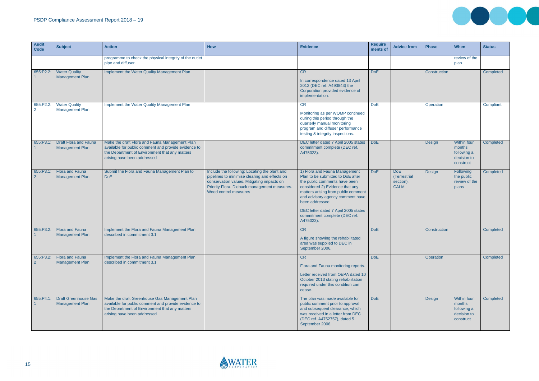| <b>Audit</b><br><b>Code</b> | <b>Subject</b>                                         | <b>Action</b>                                                                                                                                                                           | <b>How</b>                                                                                                                                                                                                            | <b>Evidence</b>                                                                                                                                                                                                                                                                                                            | <b>Require</b><br>ments of | <b>Advice from</b>                                     | <b>Phase</b> | <b>When</b>                                                      | <b>Status</b> |
|-----------------------------|--------------------------------------------------------|-----------------------------------------------------------------------------------------------------------------------------------------------------------------------------------------|-----------------------------------------------------------------------------------------------------------------------------------------------------------------------------------------------------------------------|----------------------------------------------------------------------------------------------------------------------------------------------------------------------------------------------------------------------------------------------------------------------------------------------------------------------------|----------------------------|--------------------------------------------------------|--------------|------------------------------------------------------------------|---------------|
|                             |                                                        | programme to check the physical integrity of the outlet<br>pipe and diffuser.                                                                                                           |                                                                                                                                                                                                                       |                                                                                                                                                                                                                                                                                                                            |                            |                                                        |              | review of the<br>plan                                            |               |
| 655:P2.2:                   | <b>Water Quality</b><br><b>Management Plan</b>         | Implement the Water Quality Management Plan                                                                                                                                             |                                                                                                                                                                                                                       | <b>CR</b><br>In correspondence dated 13 April<br>2012 (DEC ref. A493843) the<br>Corporation provided evidence of<br>implementation.                                                                                                                                                                                        | <b>DoE</b>                 |                                                        | Construction |                                                                  | Completed     |
| 655:P2.2:<br>2              | <b>Water Quality</b><br><b>Management Plan</b>         | Implement the Water Quality Management Plan                                                                                                                                             |                                                                                                                                                                                                                       | <b>CR</b><br>Monitoring as per WQMP continued<br>during this period through the<br>quarterly manual monitoring<br>program and diffuser performance<br>testing & integrity inspections.                                                                                                                                     | <b>DoE</b>                 |                                                        | Operation    |                                                                  | Compliant     |
| 655:P3.1                    | <b>Draft Flora and Fauna</b><br><b>Management Plan</b> | Make the draft Flora and Fauna Management Plan<br>available for public comment and provide evidence to<br>the Department of Environment that any matters<br>arising have been addressed |                                                                                                                                                                                                                       | DEC letter dated 7 April 2005 states<br>commitment complete (DEC ref.<br>A475023).                                                                                                                                                                                                                                         | <b>DoE</b>                 |                                                        | Design       | Within four<br>months<br>following a<br>decision to<br>construct | Completed     |
| 655:P3.1:<br>$\overline{2}$ | Flora and Fauna<br><b>Management Plan</b>              | Submit the Flora and Fauna Management Plan to<br><b>DoE</b>                                                                                                                             | Include the following: Locating the plant and<br>pipelines to minimise clearing and effects on<br>conservation values. Mitigating impacts on<br>Priority Flora. Dieback management measures.<br>Weed control measures | 1) Flora and Fauna Management<br>Plan to be submitted to DoE after<br>the public comments have been<br>considered 2) Evidence that any<br>matters arising from public comment<br>and advisory agency comment have<br>been addressed.<br>DEC letter dated 7 April 2005 states<br>commitment complete (DEC ref.<br>A475023). | <b>DoE</b>                 | <b>DoE</b><br>(Terrestrial<br>section),<br><b>CALM</b> | Design       | Following<br>the public<br>review of the<br>plans                | Completed     |
| 655:P3.2:                   | Flora and Fauna<br><b>Management Plan</b>              | Implement the Flora and Fauna Management Plan<br>described in commitment 3.1                                                                                                            |                                                                                                                                                                                                                       | <b>CR</b><br>A figure showing the rehabilitated<br>area was supplied to DEC in<br>September 2006.                                                                                                                                                                                                                          | <b>DoE</b>                 |                                                        | Construction |                                                                  | Completed     |
| 655:P3.2:                   | Flora and Fauna<br><b>Management Plan</b>              | Implement the Flora and Fauna Management Plan<br>described in commitment 3.1                                                                                                            |                                                                                                                                                                                                                       | CR<br>Flora and Fauna monitoring reports.<br>Letter received from OEPA dated 10<br>October 2013 stating rehabilitation<br>required under this condition can<br>cease.                                                                                                                                                      | <b>DoE</b>                 |                                                        | Operation    |                                                                  | Completed     |
| 655:P4.1:                   | <b>Draft Greenhouse Gas</b><br><b>Management Plan</b>  | Make the draft Greenhouse Gas Management Plan<br>available for public comment and provide evidence to<br>the Department of Environment that any matters<br>arising have been addressed  |                                                                                                                                                                                                                       | The plan was made available for<br>public comment prior to approval<br>and subsequent clearance, which<br>was received in a letter from DEC<br>(DEC ref. A4752757), dated 5<br>September 2006.                                                                                                                             | <b>DoE</b>                 |                                                        | Design       | Within four<br>months<br>following a<br>decision to<br>construct | Completed     |

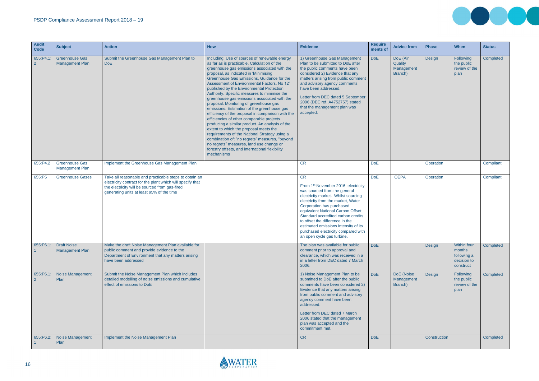

| Audit<br>Code              | <b>Subject</b>                                  | <b>Action</b>                                                                                                                                                                                                       | How                                                                                                                                                                                                                                                                                                                                                                                                                                                                                                                                                                                                                                                                                                                                                                                                                                                                                                                                      | <b>Evidence</b>                                                                                                                                                                                                                                                                                                                                                                                                                   | <b>Require</b><br>ments of | <b>Advice from</b>                           | <b>Phase</b> | <b>When</b>                                                      | <b>Status</b> |
|----------------------------|-------------------------------------------------|---------------------------------------------------------------------------------------------------------------------------------------------------------------------------------------------------------------------|------------------------------------------------------------------------------------------------------------------------------------------------------------------------------------------------------------------------------------------------------------------------------------------------------------------------------------------------------------------------------------------------------------------------------------------------------------------------------------------------------------------------------------------------------------------------------------------------------------------------------------------------------------------------------------------------------------------------------------------------------------------------------------------------------------------------------------------------------------------------------------------------------------------------------------------|-----------------------------------------------------------------------------------------------------------------------------------------------------------------------------------------------------------------------------------------------------------------------------------------------------------------------------------------------------------------------------------------------------------------------------------|----------------------------|----------------------------------------------|--------------|------------------------------------------------------------------|---------------|
| 655:P4.1<br>$\overline{2}$ | <b>Greenhouse Gas</b><br><b>Management Plan</b> | Submit the Greenhouse Gas Management Plan to<br><b>DoE</b>                                                                                                                                                          | Including: Use of sources of renewable energy<br>as far as is practicable. Calculation of the<br>greenhouse gas emissions associated with the<br>proposal, as indicated in 'Minimising<br>Greenhouse Gas Emissions, Guidance for the<br>Assessment of Environmental Factors, No 12'<br>published by the Environmental Protection<br>Authority. Specific measures to minimise the<br>greenhouse gas emissions associated with the<br>proposal. Monitoring of greenhouse gas<br>emissions. Estimation of the greenhouse gas<br>efficiency of the proposal in comparison with the<br>efficiencies of other comparable projects<br>producing a similar product. An analysis of the<br>extent to which the proposal meets the<br>requirements of the National Strategy using a<br>combination of: "no regrets" measures, "beyond<br>no regrets" measures, land use change or<br>forestry offsets, and international flexibility<br>mechanisms | 1) Greenhouse Gas Management<br>Plan to be submitted to DoE after<br>the public comments have been<br>considered 2) Evidence that any<br>matters arising from public comment<br>and advisory agency comments<br>have been addressed.<br>Letter from DEC dated 5 September<br>2006 (DEC ref. A4752757) stated<br>that the management plan was<br>accepted.                                                                         | <b>DoE</b>                 | DoE (Air<br>Quality<br>Management<br>Branch) | Design       | Following<br>the public<br>review of the<br>plan                 | Completed     |
| 655:P4.2                   | <b>Greenhouse Gas</b><br><b>Management Plan</b> | Implement the Greenhouse Gas Management Plan                                                                                                                                                                        |                                                                                                                                                                                                                                                                                                                                                                                                                                                                                                                                                                                                                                                                                                                                                                                                                                                                                                                                          | <b>CR</b>                                                                                                                                                                                                                                                                                                                                                                                                                         | <b>DoE</b>                 |                                              | Operation    |                                                                  | Compliant     |
| 655:P5                     | <b>Greenhouse Gases</b>                         | Take all reasonable and practicable steps to obtain an<br>electricity contract for the plant which will specify that<br>the electricity will be sourced from gas-fired<br>generating units at least 95% of the time |                                                                                                                                                                                                                                                                                                                                                                                                                                                                                                                                                                                                                                                                                                                                                                                                                                                                                                                                          | <b>CR</b><br>From 1 <sup>st</sup> November 2016, electricity<br>was sourced from the general<br>electricity market. Whilst sourcing<br>electricity from the market, Water<br>Corporation has purchased<br>equivalent National Carbon Offset<br>Standard accredited carbon credits<br>to offset the difference in the<br>estimated emissions intensity of its<br>purchased electricity compared with<br>an open cycle gas turbine. | <b>DoE</b>                 | <b>OEPA</b>                                  | Operation    |                                                                  | Compliant     |
| 655:P6.1:                  | <b>Draft Noise</b><br><b>Management Plan</b>    | Make the draft Noise Management Plan available for<br>public comment and provide evidence to the<br>Department of Environment that any matters arising<br>have been addressed                                       |                                                                                                                                                                                                                                                                                                                                                                                                                                                                                                                                                                                                                                                                                                                                                                                                                                                                                                                                          | The plan was available for public<br>comment prior to approval and<br>clearance, which was received in a<br>in a letter from DEC dated 7 March<br>2006.                                                                                                                                                                                                                                                                           | <b>DoE</b>                 |                                              | Design       | Within four<br>months<br>following a<br>decision to<br>construct | Completed     |
| 655:P6.1:                  | Noise Management<br>Plan                        | Submit the Noise Management Plan which includes<br>detailed modelling of noise emissions and cumulative<br>effect of emissions to DoE                                                                               |                                                                                                                                                                                                                                                                                                                                                                                                                                                                                                                                                                                                                                                                                                                                                                                                                                                                                                                                          | 1) Noise Management Plan to be<br>submitted to DoE after the public<br>comments have been considered 2)<br>Evidence that any matters arising<br>from public comment and advisory<br>agency comment have been<br>addressed.<br>Letter from DEC dated 7 March<br>2006 stated that the management<br>plan was accepted and the<br>commitment met.                                                                                    | <b>DoE</b>                 | DoE (Noise<br>Management<br>Branch)          | Design       | Following<br>the public<br>review of the<br>plan                 | Completed     |
| 655:P6.2:                  | Noise Management<br>Plan                        | Implement the Noise Management Plan                                                                                                                                                                                 |                                                                                                                                                                                                                                                                                                                                                                                                                                                                                                                                                                                                                                                                                                                                                                                                                                                                                                                                          | <b>CR</b>                                                                                                                                                                                                                                                                                                                                                                                                                         | <b>DoE</b>                 |                                              | Construction |                                                                  | Completed     |

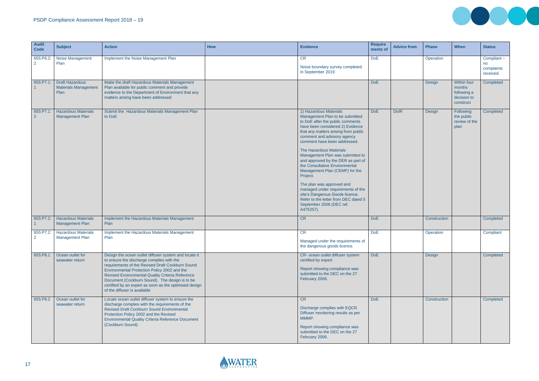| <b>Audit</b><br><b>Code</b> | <b>Subject</b>                                                | <b>Action</b>                                                                                                                                                                                                                                                                                                                                                                                          | How | <b>Evidence</b>                                                                                                                                                                                                                                                                                                                                                                                                                                                                                                                                                                                                     | <b>Require</b><br>ments of | <b>Advice</b> |
|-----------------------------|---------------------------------------------------------------|--------------------------------------------------------------------------------------------------------------------------------------------------------------------------------------------------------------------------------------------------------------------------------------------------------------------------------------------------------------------------------------------------------|-----|---------------------------------------------------------------------------------------------------------------------------------------------------------------------------------------------------------------------------------------------------------------------------------------------------------------------------------------------------------------------------------------------------------------------------------------------------------------------------------------------------------------------------------------------------------------------------------------------------------------------|----------------------------|---------------|
| 655:P6.2:<br>$\overline{2}$ | Noise Management<br>Plan                                      | Implement the Noise Management Plan                                                                                                                                                                                                                                                                                                                                                                    |     | <b>CR</b><br>Noise boundary survey completed<br>in September 2019                                                                                                                                                                                                                                                                                                                                                                                                                                                                                                                                                   | <b>DoE</b>                 |               |
| 655:P7.1:                   | <b>Draft Hazardous</b><br><b>Materials Management</b><br>Plan | Make the draft Hazardous Materials Management<br>Plan available for public comment and provide<br>evidence to the Department of Environment that any<br>matters arising have been addressed                                                                                                                                                                                                            |     |                                                                                                                                                                                                                                                                                                                                                                                                                                                                                                                                                                                                                     | <b>DoE</b>                 |               |
| 655:P7.1:<br>$\overline{2}$ | <b>Hazardous Materials</b><br><b>Management Plan</b>          | Submit the Hazardous Materials Management Plan<br>to DoE                                                                                                                                                                                                                                                                                                                                               |     | 1) Hazardous Materials<br>Management Plan to be submitted<br>to DoE after the public comments<br>have been considered 2) Evidence<br>that any matters arising from public<br>comment and advisory agency<br>comment have been addressed.<br>The Hazardous Materials<br>Management Plan was submitted to<br>and approved by the DER as part of<br>the Consultative Environmental<br>Management Plan (CEMP) for the<br>Project.<br>The plan was approved and<br>managed under requirements of the<br>site's Dangerous Goods licence.<br>Refer to the letter from DEC dated 5<br>September 2006 (DEC ref.<br>A475257). | <b>DoE</b>                 | <b>DolR</b>   |
| 655:P7.2:                   | <b>Hazardous Materials</b><br>Management Plan                 | Implement the Hazardous Materials Management<br>Plan                                                                                                                                                                                                                                                                                                                                                   |     | <b>CR</b>                                                                                                                                                                                                                                                                                                                                                                                                                                                                                                                                                                                                           | <b>DoE</b>                 |               |
| 655:P7.2:<br>$\overline{2}$ | <b>Hazardous Materials</b><br><b>Management Plan</b>          | Implement the Hazardous Materials Management<br>Plan                                                                                                                                                                                                                                                                                                                                                   |     | <b>CR</b><br>Managed under the requirements of<br>the dangerous goods licence.                                                                                                                                                                                                                                                                                                                                                                                                                                                                                                                                      | <b>DoE</b>                 |               |
| 655:P8.1                    | Ocean outlet for<br>seawater return                           | Design the ocean outlet diffuser system and locate it<br>to ensure the discharge complies with the<br>requirements of the Revised Draft Cockburn Sound<br>Environmental Protection Policy 2002 and the<br>Revised Environmental Quality Criteria Reference<br>Document (Cockburn Sound). The design is to be<br>certified by an expert as soon as the optimised design<br>of the diffuser is available |     | CR- ocean outlet diffuser system<br>certified by expert<br>Report showing compliance was<br>submitted to the DEC on the 27<br>February 2006.                                                                                                                                                                                                                                                                                                                                                                                                                                                                        | <b>DoE</b>                 |               |
| 655:P8.2                    | Ocean outlet for<br>seawater return                           | Locate ocean outlet diffuser system to ensure the<br>discharge complies with the requirements of the<br><b>Revised Draft Cockburn Sound Environmental</b><br>Protection Policy 2002 and the Revised<br><b>Environmental Quality Criteria Reference Document</b><br>(Cockburn Sound).                                                                                                                   |     | <b>CR</b><br>Discharge complies with EQCR.<br>Diffuser monitoring results as per<br>MMMP.<br>Report showing compliance was<br>submitted to the DEC on the 27<br>February 2006.                                                                                                                                                                                                                                                                                                                                                                                                                                      | <b>DoE</b>                 |               |





DOOG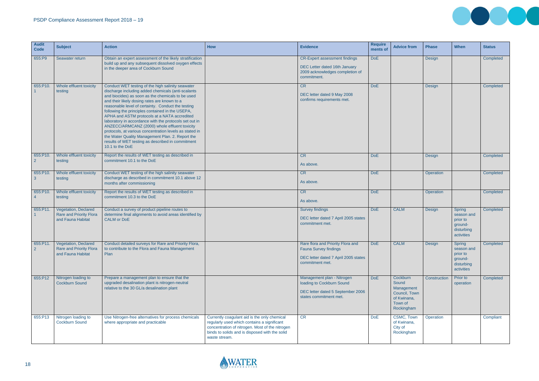| <b>Audit</b><br><b>Code</b> | <b>Subject</b>                                                              | <b>Action</b>                                                                                                                                                                                                                                                                                                                                                                                                                                                                                                                                                                                                                                                            | How                                                                                                                                                                                                               | <b>Evidence</b>                                                                                                              | <b>Require</b><br>ments of | <b>Advice from</b>                                                                       |
|-----------------------------|-----------------------------------------------------------------------------|--------------------------------------------------------------------------------------------------------------------------------------------------------------------------------------------------------------------------------------------------------------------------------------------------------------------------------------------------------------------------------------------------------------------------------------------------------------------------------------------------------------------------------------------------------------------------------------------------------------------------------------------------------------------------|-------------------------------------------------------------------------------------------------------------------------------------------------------------------------------------------------------------------|------------------------------------------------------------------------------------------------------------------------------|----------------------------|------------------------------------------------------------------------------------------|
| 655:P9                      | Seawater return                                                             | Obtain an expert assessment of the likely stratification<br>build up and any subsequent dissolved oxygen effects<br>in the deeper area of Cockburn Sound                                                                                                                                                                                                                                                                                                                                                                                                                                                                                                                 |                                                                                                                                                                                                                   | <b>CR-Expert assessment findings</b><br>DEC Letter dated 16th January<br>2009 acknowledges completion of<br>commitment.      | <b>DoE</b>                 |                                                                                          |
| 655:P10.                    | Whole effluent toxicity<br>testing                                          | Conduct WET testing of the high salinity seawater<br>discharge including added chemicals (anti-scalants<br>and biocides) as soon as the chemicals to be used<br>and their likely dosing rates are known to a<br>reasonable level of certainty. Conduct the testing<br>following the principles contained in the USEPA,<br>APHA and ASTM protocols at a NATA accredited<br>laboratory in accordance with the protocols set out in<br>ANZECC/ARMCANZ (2000) whole effluent toxicity<br>protocols, at various concentration levels as stated in<br>the Water Quality Management Plan. 2. Report the<br>results of WET testing as described in commitment<br>10.1 to the DoE |                                                                                                                                                                                                                   | <b>CR</b><br>DEC letter dated 9 May 2008<br>confirms requirements met.                                                       | <b>DoE</b>                 |                                                                                          |
| 655:P10.<br>$\overline{2}$  | Whole effluent toxicity<br>testing                                          | Report the results of WET testing as described in<br>commitment 10.1 to the DoE                                                                                                                                                                                                                                                                                                                                                                                                                                                                                                                                                                                          |                                                                                                                                                                                                                   | <b>CR</b><br>As above.                                                                                                       | <b>DoE</b>                 |                                                                                          |
| 655:P10.<br>3               | Whole effluent toxicity<br>testing                                          | Conduct WET testing of the high salinity seawater<br>discharge as described in commitment 10.1 above 12<br>months after commissioning                                                                                                                                                                                                                                                                                                                                                                                                                                                                                                                                    |                                                                                                                                                                                                                   | CR<br>As above.                                                                                                              | <b>DoE</b>                 |                                                                                          |
| 655:P10.<br>$\overline{4}$  | Whole effluent toxicity<br>testing                                          | Report the results of WET testing as described in<br>commitment 10.3 to the DoE                                                                                                                                                                                                                                                                                                                                                                                                                                                                                                                                                                                          |                                                                                                                                                                                                                   | CR<br>As above.                                                                                                              | <b>DoE</b>                 |                                                                                          |
| 655:P11.                    | Vegetation, Declared<br><b>Rare and Priority Flora</b><br>and Fauna Habitat | Conduct a survey of product pipeline routes to<br>determine final alignments to avoid areas identified by<br><b>CALM or DoE</b>                                                                                                                                                                                                                                                                                                                                                                                                                                                                                                                                          |                                                                                                                                                                                                                   | <b>Survey findings</b><br>DEC letter dated 7 April 2005 states<br>commitment met.                                            | <b>DoE</b>                 | <b>CALM</b>                                                                              |
| 655:P11.<br>$\overline{2}$  | <b>Rare and Priority Flora</b><br>and Fauna Habitat                         | Vegetation, Declared   Conduct detailed surveys for Rare and Priority Flora,<br>to contribute to the Flora and Fauna Management<br><b>Plan</b>                                                                                                                                                                                                                                                                                                                                                                                                                                                                                                                           |                                                                                                                                                                                                                   | Rare flora and Priority Flora and<br><b>Fauna Survey findings</b><br>DEC letter dated 7 April 2005 states<br>commitment met. | <b>DoE</b>                 | <b>CALM</b>                                                                              |
| 655:P12                     | Nitrogen loading to<br><b>Cockburn Sound</b>                                | Prepare a management plan to ensure that the<br>upgraded desalination plant is nitrogen-neutral<br>relative to the 30 GL/a desalination plant                                                                                                                                                                                                                                                                                                                                                                                                                                                                                                                            |                                                                                                                                                                                                                   | Management plan - Nitrogen<br>loading to Cockburn Sound<br>DEC letter dated 5 September 2006<br>states commitment met.       | <b>DoE</b>                 | Cockburn<br>Sound<br>Management<br>Council, Town<br>of Kwinana,<br>Town of<br>Rockingham |
| 655:P13                     | Nitrogen loading to<br>Cockburn Sound                                       | Use Nitrogen-free alternatives for process chemicals<br>where appropriate and practicable                                                                                                                                                                                                                                                                                                                                                                                                                                                                                                                                                                                | Currently coagulant aid is the only chemical<br>regularly used which contains a significant<br>concentration of nitrogen. Most of the nitrogen<br>binds to solids and is disposed with the solid<br>waste stream. | <b>CR</b>                                                                                                                    | <b>DoE</b>                 | CSMC, Town<br>of Kwinana,<br>City of<br>Rockingham                                       |



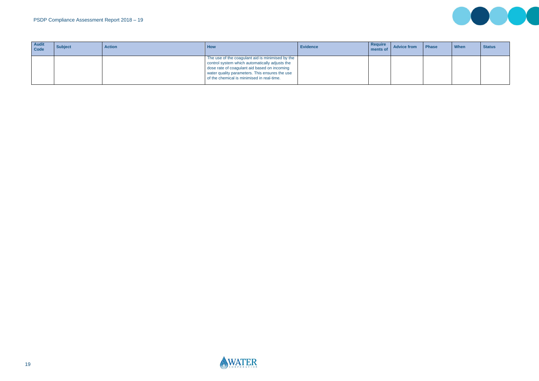

| <b>Audit</b><br>Code | <b>Subject</b> | <b>Action</b> | <b>How</b>                                                                                                                                                                                                                                         | <b>Evidence</b> | <b>Require</b><br>ments of | <b>Advice from</b> | Phase | When | <b>Status</b> |
|----------------------|----------------|---------------|----------------------------------------------------------------------------------------------------------------------------------------------------------------------------------------------------------------------------------------------------|-----------------|----------------------------|--------------------|-------|------|---------------|
|                      |                |               | The use of the coagulant aid is minimised by the<br>control system which automatically adjusts the<br>dose rate of coagulant aid based on incoming<br>water quality parameters. This ensures the use<br>of the chemical is minimised in real-time. |                 |                            |                    |       |      |               |

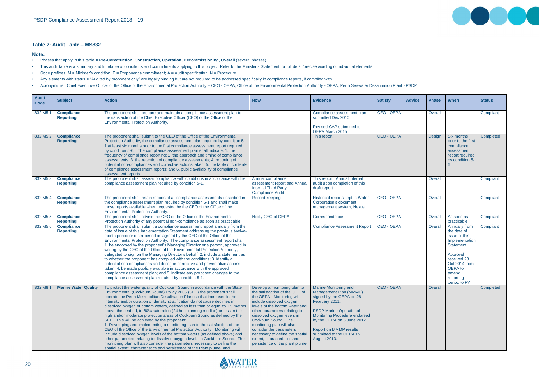

#### **Table 2: Audit Table – MS832**

#### **Note:**

- Phases that apply in this table **= Pre-Construction**, **Construction**, **Operation**, **Decommissioning**, **Overall** (several phases)
- This audit table is a summary and timetable of conditions and commitments applying to this project. Refer to the Minister's Statement for full detail/precise wording of individual elements.
- Code prefixes: M = Minister's condition; P = Proponent's commitment; A = Audit specification; N = Procedure.
- Any elements with status = "Audited by proponent only" are legally binding but are not required to be addressed specifically in compliance reports, if complied with.
- Acronyms list: Chief Executive Officer of the Office of the Environmental Protection Authority CEO OEPA; Office of the Environmental Protection Authority OEPA; Perth Seawater Desalination Plant PSDP

| <b>Audit</b><br>Code | <b>Subject</b>                        | <b>Action</b>                                                                                                                                                                                                                                                                                                                                                                                                                                                                                                                                                                                                                                                                                                                                                                                                                                                                                                                                                                                                                                                                                        | <b>How</b>                                                                                                                                                                                                                                                                                                                                                                                                  | <b>Evidence</b>                                                                                                                                                                                                                                                                                   | <b>Satisfy</b>    | <b>Advice</b> | <b>Phase</b> | When                                                                                                                                                                                    | <b>Status</b> |
|----------------------|---------------------------------------|------------------------------------------------------------------------------------------------------------------------------------------------------------------------------------------------------------------------------------------------------------------------------------------------------------------------------------------------------------------------------------------------------------------------------------------------------------------------------------------------------------------------------------------------------------------------------------------------------------------------------------------------------------------------------------------------------------------------------------------------------------------------------------------------------------------------------------------------------------------------------------------------------------------------------------------------------------------------------------------------------------------------------------------------------------------------------------------------------|-------------------------------------------------------------------------------------------------------------------------------------------------------------------------------------------------------------------------------------------------------------------------------------------------------------------------------------------------------------------------------------------------------------|---------------------------------------------------------------------------------------------------------------------------------------------------------------------------------------------------------------------------------------------------------------------------------------------------|-------------------|---------------|--------------|-----------------------------------------------------------------------------------------------------------------------------------------------------------------------------------------|---------------|
| 832:M5.1             | <b>Compliance</b><br><b>Reporting</b> | The proponent shall prepare and maintain a compliance assessment plan to<br>the satisfaction of the Chief Executive Officer (CEO) of the Office of the<br><b>Environmental Protection Authority.</b>                                                                                                                                                                                                                                                                                                                                                                                                                                                                                                                                                                                                                                                                                                                                                                                                                                                                                                 |                                                                                                                                                                                                                                                                                                                                                                                                             | Compliance assessment plan<br>submitted Dec 2010<br>Revised CAP submitted to<br>OEPA March 2015                                                                                                                                                                                                   | CEO - OEPA        |               | Overall      |                                                                                                                                                                                         | Compliant     |
| 832:M5.2             | <b>Compliance</b><br><b>Reporting</b> | The proponent shall submit to the CEO of the Office of the Environmental<br>Protection Authority, the compliance assessment plan required by condition 5-<br>1 at least six months prior to the first compliance assessment report required<br>by condition 5-6. The compliance assessment plan shall indicate: 1. the<br>frequency of compliance reporting; 2. the approach and timing of compliance<br>assessments; 3. the retention of compliance assessments; 4. reporting of<br>potential non-compliances and corrective actions taken; 5. the table of contents<br>of compliance assessment reports; and 6. public availability of compliance<br>assessment reports.                                                                                                                                                                                                                                                                                                                                                                                                                           |                                                                                                                                                                                                                                                                                                                                                                                                             | This report                                                                                                                                                                                                                                                                                       | <b>CEO - OEPA</b> |               | Design       | Six months<br>prior to the first<br>compliance<br>assessment<br>report required<br>by condition 5-                                                                                      | Completed     |
| 832:M5.3             | <b>Compliance</b><br><b>Reporting</b> | The proponent shall assess compliance with conditions in accordance with the<br>compliance assessment plan required by condition 5-1.                                                                                                                                                                                                                                                                                                                                                                                                                                                                                                                                                                                                                                                                                                                                                                                                                                                                                                                                                                | Annual compliance<br>assessment report and Annual<br><b>Internal Third Party</b><br><b>Compliance Audit</b>                                                                                                                                                                                                                                                                                                 | This report. Annual internal<br>audit upon completion of this<br>draft report                                                                                                                                                                                                                     |                   |               | Overall      |                                                                                                                                                                                         | Compliant     |
| 832:M5.4             | <b>Compliance</b><br><b>Reporting</b> | The proponent shall retain reports of all compliance assessments described in<br>the compliance assessment plan required by condition 5-1 and shall make<br>those reports available when requested by the CEO of the Office of the<br><b>Environmental Protection Authority.</b>                                                                                                                                                                                                                                                                                                                                                                                                                                                                                                                                                                                                                                                                                                                                                                                                                     | <b>Record keeping</b>                                                                                                                                                                                                                                                                                                                                                                                       | Historical reports kept in Water<br>Corporation's document<br>management system, Nexus.                                                                                                                                                                                                           | CEO - OEPA        |               | Overall      |                                                                                                                                                                                         | Compliant     |
| 832:M5.5             | <b>Compliance</b><br><b>Reporting</b> | The proponent shall advise the CEO of the Office of the Environmental<br>Protection Authority of any potential non-compliance as soon as practicable                                                                                                                                                                                                                                                                                                                                                                                                                                                                                                                                                                                                                                                                                                                                                                                                                                                                                                                                                 | Notify CEO of OEPA                                                                                                                                                                                                                                                                                                                                                                                          | Correspondence                                                                                                                                                                                                                                                                                    | CEO - OEPA        |               | Overall      | As soon as<br>practicable                                                                                                                                                               | Compliant     |
| 832:M5.6             | <b>Compliance</b><br><b>Reporting</b> | The proponent shall submit a compliance assessment report annually from the<br>date of issue of this Implementation Statement addressing the previous twelve-<br>month period or other period as agreed by the CEO of the Office of the<br>Environmental Protection Authority. The compliance assessment report shall:<br>1. be endorsed by the proponent's Managing Director or a person, approved in<br>writing by the CEO of the Office of the Environmental Protection Authority,<br>delegated to sign on the Managing Director's behalf; 2. include a statement as<br>to whether the proponent has complied with the conditions; 3. identify all<br>potential non-compliances and describe corrective and preventative actions<br>taken; 4. be made publicly available in accordance with the approved<br>compliance assessment plan; and 5. indicate any proposed changes to the<br>compliance assessment plan required by condition 5-1.                                                                                                                                                      |                                                                                                                                                                                                                                                                                                                                                                                                             | <b>Compliance Assessment Report</b>                                                                                                                                                                                                                                                               | <b>CEO - OEPA</b> |               | Overall      | <b>Annually from</b><br>the date of<br>issue of this<br>Implementation<br><b>Statement</b><br>Approval<br>received 28<br>Oct 2014 from<br>OEPA to<br>amend<br>reporting<br>period to FY | Compliant     |
| 832:M8.1             | <b>Marine Water Quality</b>           | To protect the water quality of Cockburn Sound in accordance with the State<br>Environmental (Cockburn Sound) Policy 2005 (SEP) the proponent shall<br>operate the Perth Metropolitan Desalination Plant so that increases in the<br>intensity and/or duration of density stratification do not cause declines in<br>dissolved oxygen of bottom waters, defined as less than or equal to 0.5 metres<br>above the seabed, to 60% saturation (24 hour running median) or less in the<br>high and/or moderate protection areas of Cockburn Sound as defined by the<br>SEP. This will be achieved by the proponent:<br>1. Developing and implementing a monitoring plan to the satisfaction of the<br>CEO of the Office of the Environmental Protection Authority. Monitoring will<br>include dissolved oxygen levels of the bottom waters (as defined above) and<br>other parameters relating to dissolved oxygen levels in Cockburn Sound. The<br>monitoring plan will also consider the parameters necessary to define the<br>spatial extent, characteristics and persistence of the Plant plume; and | Develop a monitoring plan to<br>the satisfaction of the CEO of<br>the OEPA. Monitoring will<br>include dissolved oxygen<br>levels of the bottom water and<br>other parameters relating to<br>dissolved oxygen levels in<br>Cockburn Sound. The<br>monitoring plan will also<br>consider the parameters<br>necessary to define the spatial<br>extent, characteristics and<br>persistence of the plant plume. | <b>Marine Monitoring and</b><br>Management Plan (MMMP)<br>signed by the OEPA on 28<br>February 2011.<br><b>PSDP Marine Operational</b><br><b>Monitoring Procedure endorsed</b><br>by the OEPA on 6 June 2012.<br><b>Report on MMMP results</b><br>submitted to the OEPA 15<br><b>August 2013.</b> | <b>CEO - OEPA</b> |               | Overall      |                                                                                                                                                                                         | Completed     |

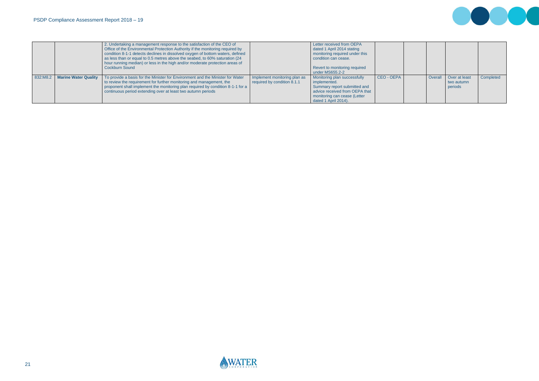

|          |                             | 2. Undertaking a management response to the satisfaction of the CEO of<br>Office of the Environmental Protection Authority if the monitoring required by<br>condition 8-1-1 detects declines in dissolved oxygen of bottom waters, defined<br>as less than or equal to 0.5 metres above the seabed, to 60% saturation (24<br>hour running median) or less in the high and/or moderate protection areas of<br><b>Cockburn Sound</b> |                                                             | Letter received from OEPA<br>dated 1 April 2014 stating<br>monitoring required under this<br>condition can cease.<br>Revert to monitoring required<br>under MS655.2-2  |            |         |                                        |           |
|----------|-----------------------------|------------------------------------------------------------------------------------------------------------------------------------------------------------------------------------------------------------------------------------------------------------------------------------------------------------------------------------------------------------------------------------------------------------------------------------|-------------------------------------------------------------|------------------------------------------------------------------------------------------------------------------------------------------------------------------------|------------|---------|----------------------------------------|-----------|
| 832:M8.2 | <b>Marine Water Quality</b> | To provide a basis for the Minister for Environment and the Minister for Water<br>to review the requirement for further monitoring and management, the<br>proponent shall implement the monitoring plan required by condition 8-1-1 for a<br>continuous period extending over at least two autumn periods                                                                                                                          | Implement monitoring plan as<br>required by condition 8.1.1 | Monitoring plan successfully<br>implemented.<br>Summary report submitted and<br>advice received from OEPA that<br>monitoring can cease (Letter<br>dated 1 April 2014). | CEO - OEPA | Overall | Over at least<br>two autumn<br>periods | Completed |

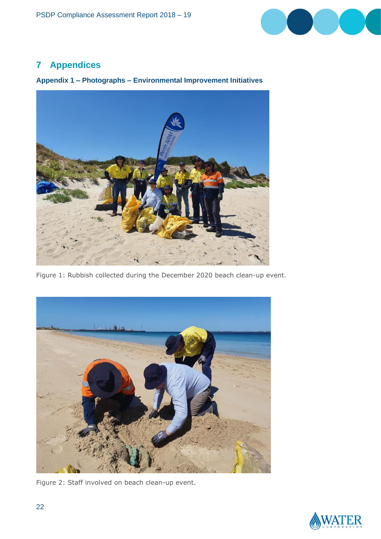

# <span id="page-21-0"></span>**7 Appendices**

**Appendix 1 – Photographs – Environmental Improvement Initiatives**



Figure 1: Rubbish collected during the December 2020 beach clean-up event.



Figure 2: Staff involved on beach clean-up event.